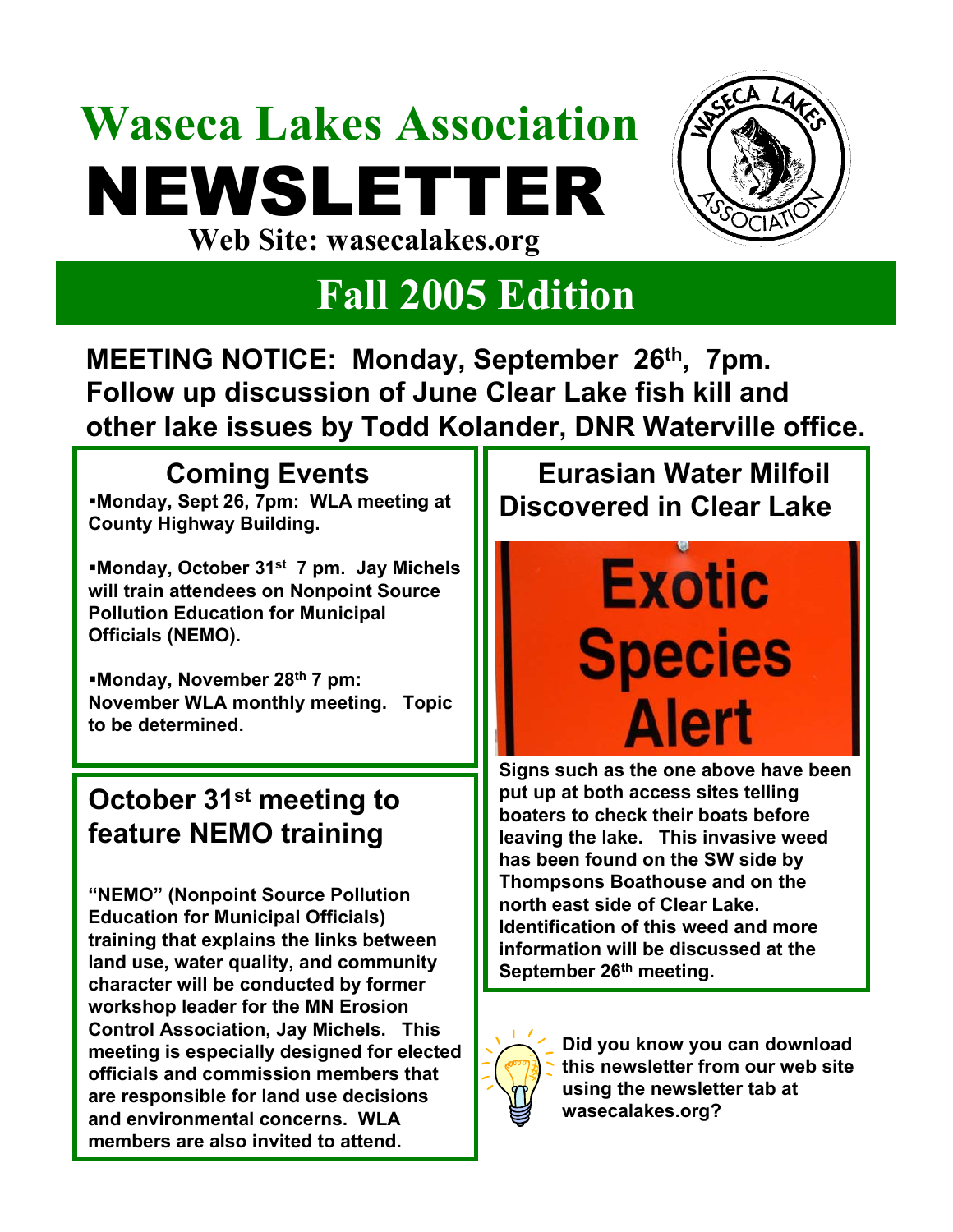## **Waseca Lakes Association** NEWSLETTER **Web Site: wasecalakes.org**



### **Fall 2005 Edition**

**MEETING NOTICE: Monday, September 26th, 7pm. Follow up discussion of June Clear Lake fish kill and other lake issues by Todd Kolander, DNR Waterville office.** 

### **Coming Events**

**Monday, Sept 26, 7pm: WLA meeting at County Highway Building.**

**Monday, October 31st 7 pm. Jay Michels will train attendees on Nonpoint Source Pollution Education for Municipal Officials (NEMO).** 

**Monday, November 28th 7 pm: November WLA monthly meeting. Topic to be determined.**

### **October 31st meeting to feature NEMO training**

**"NEMO" (Nonpoint Source Pollution Education for Municipal Officials) training that explains the links between land use, water quality, and community character will be conducted by former workshop leader for the MN Erosion Control Association, Jay Michels. This meeting is especially designed for elected officials and commission members that are responsible for land use decisions and environmental concerns. WLA members are also invited to attend.** 

**Eurasian Water Milfoil Discovered in Clear Lake**

# **Exotic Species Alert**

**Signs such as the one above have been put up at both access sites telling boaters to check their boats before leaving the lake. This invasive weed has been found on the SW side by Thompsons Boathouse and on the north east side of Clear Lake. Identification of this weed and more information will be discussed at the September 26th meeting.**



**Did you know you can download this newsletter from our web site using the newsletter tab at wasecalakes.org?**